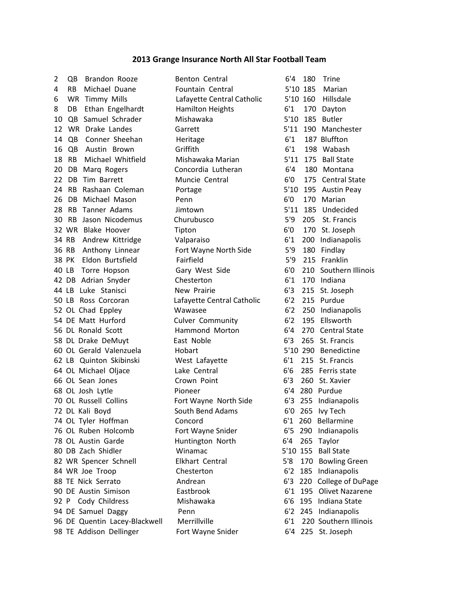## **2013 Grange Insurance North All Star Football Team**

| 2  | Brandon Rooze<br>QB         |
|----|-----------------------------|
| 4  | RB<br>Michael Duane         |
| 6  | <b>WR Timmy Mills</b>       |
| 8  | DB Ethan Engelhardt         |
|    | Samuel Schrader<br>10 QB    |
|    | 12 WR Drake Landes          |
| 14 | QB Conner Sheehan           |
| 16 | QB Austin Brown             |
| 18 | RB Michael Whitfield        |
| 20 | DB Marq Rogers              |
|    | Tim Barrett<br>22 DB        |
|    | 24 RB Rashaan Coleman       |
|    | 26 DB Michael Mason         |
|    | 28 RB Tanner Adams          |
|    | Jason Nicodemus<br>30 RB    |
|    | 32 WR Blake Hoover          |
|    | 34 RB<br>Andrew Kittridge   |
|    | Anthony Linnear<br>36 RB    |
|    | 38 PK Eldon Burtsfield      |
|    | 40 LB Torre Hopson          |
|    | 42 DB Adrian Snyder         |
|    | 44 LB Luke Stanisci         |
|    | 50 LB Ross Corcoran         |
|    | 52 OL Chad Eppley           |
|    | 54 DE Matt Hurford          |
|    | 56 DL Ronald Scott          |
|    | 58 DL Drake DeMuyt          |
|    | 60 OL Gerald Valenzuela     |
|    | 62 LB Quinton Skibinski     |
|    | 64 OL Michael Oljace        |
|    | 66 OL Sean Jones            |
|    | 68 OL Josh Lytle            |
|    | 70 OL Russell Collins       |
|    | 72 DL Kali Boyd             |
|    | 74 OL Tyler Hoffman         |
|    | 76 OL Ruben Holcomb         |
|    | 78 OL Austin Garde          |
|    | 80 DB Zach Shidler          |
|    | 82 WR Spencer Schnell       |
|    | 84 WR Joe Troop             |
|    | 88 TE Nick Serrato          |
|    | 90 DE Austin Simison        |
|    | 92 P Cody Childress         |
|    | 94 DE Samuel Daggy          |
|    | 96 DE Quentin Lacey-Blackwe |
|    | 98 TE Addison Dellinger     |

Fountain Central 5'10 185 Marian Lafayette Central Catholic 5'10 160 Hillsdale Hamilton Heights 6'1 170 Dayton Mishawaka 5'10 185 Butler Garrett 5'11 190 Manchester Heritage 6'1 187 Bluffton Griffith 6'1 198 Wabash Mishawaka Marian 5'11 175 Ball State Concordia Lutheran 6'4 180 Montana Portage 5'10 195 Austin Peay Penn 6'0 170 Marian Jimtown 5'11 185 Undecided 30 RB Jason Nicodemus Churubusco 5'9 205 St. Francis Tipton 6'0 170 St. Joseph Valparaiso 6'1 200 Indianapolis Fort Wayne North Side 5'9 180 Findlay Fairfield 5'9 215 Franklin Chesterton 6'1 170 Indiana New Prairie 6'3 215 St. Joseph Lafayette Central Catholic 6'2 215 Purdue Wawasee 6'2 250 Indianapolis Culver Community 6'2 195 Ellsworth Hammond Morton 6'4 270 Central State East Noble 6'3 265 St. Francis 60 OL Gerald Valenzuela Hobart 5'10 290 Benedictine West Lafayette 6'1 215 St. Francis Lake Central 6'6 285 Ferris state Crown Point 6'3 260 St. Xavier Pioneer 6'4 280 Purdue Fort Wayne North Side 6'3 255 Indianapolis South Bend Adams 6'0 265 Ivy Tech Concord 6'1 260 Bellarmine Fort Wayne Snider 6'5 290 Indianapolis Huntington North 6'4 265 Taylor Winamac 5'10 155 Ball State Chesterton 6'2 185 Indianapolis Mishawaka 6'6 195 Indiana State Penn 6'2 245 Indianapolis Fort Wayne Snider 6'4 225 St. Joseph

Benton Central 6'4 180 Trine Muncie Central 6'0 175 Central State Gary West Side 6'0 210 Southern Illinois Elkhart Central 5'8 170 Bowling Green Andrean 6'3 220 College of DuPage Eastbrook 6'1 195 Olivet Nazarene ell Merrillville 6'1 220 Southern Illinois